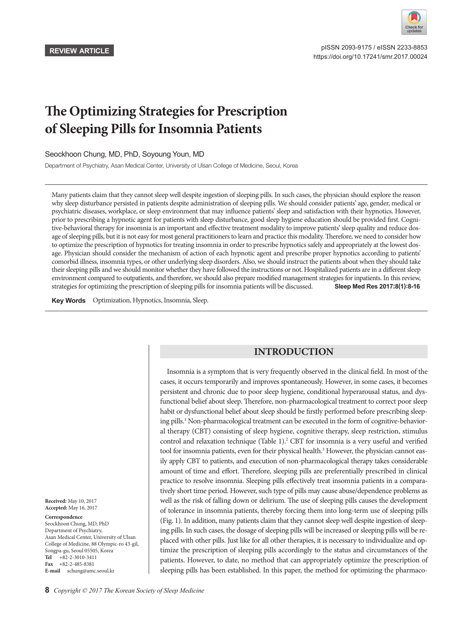

 pISSN 2093-9175 / eISSN 2233-8853 https://doi.org/10.17241/smr.2017.00024

# **The Optimizing Strategies for Prescription of Sleeping Pills for Insomnia Patients**

## Seockhoon Chung, MD, PhD, Soyoung Youn, MD

Department of Psychiatry, Asan Medical Center, University of Ulsan College of Medicine, Seoul, Korea

Many patients claim that they cannot sleep well despite ingestion of sleeping pills. In such cases, the physician should explore the reason why sleep disturbance persisted in patients despite administration of sleeping pills. We should consider patients' age, gender, medical or psychiatric diseases, workplace, or sleep environment that may influence patients' sleep and satisfaction with their hypnotics. However, prior to prescribing a hypnotic agent for patients with sleep disturbance, good sleep hygiene education should be provided first. Cognitive-behavioral therapy for insomnia is an important and effective treatment modality to improve patients' sleep quality and reduce dosage of sleeping pills, but it is not easy for most general practitioners to learn and practice this modality. Therefore, we need to consider how to optimize the prescription of hypnotics for treating insomnia in order to prescribe hypnotics safely and appropriately at the lowest dosage. Physician should consider the mechanism of action of each hypnotic agent and prescribe proper hypnotics according to patients' comorbid illness, insomnia types, or other underlying sleep disorders. Also, we should instruct the patients about when they should take their sleeping pills and we should monitor whether they have followed the instructions or not. Hospitalized patients are in a different sleep environment compared to outpatients, and therefore, we should also prepare modified management strategies for inpatients. In this review, strategies for optimizing the prescription of sleeping pills for insomnia patients will be discussed. **Sleep Med Res 2017;8(1):8-16**

**Key Words** Optimization, Hypnotics, Insomnia, Sleep.

# **INTRODUCTION**

Insomnia is a symptom that is very frequently observed in the clinical field. In most of the cases, it occurs temporarily and improves spontaneously. However, in some cases, it becomes persistent and chronic due to poor sleep hygiene, conditional hyperarousal status, and dysfunctional belief about sleep. Therefore, non-pharmacological treatment to correct poor sleep habit or dysfunctional belief about sleep should be firstly performed before prescribing sleeping pills.<sup>1</sup> Non-pharmacological treatment can be executed in the form of cognitive-behavioral therapy (CBT) consisting of sleep hygiene, cognitive therapy, sleep restriction, stimulus control and relaxation technique (Table 1).<sup>2</sup> CBT for insomnia is a very useful and verified tool for insomnia patients, even for their physical health.<sup>3</sup> However, the physician cannot easily apply CBT to patients, and execution of non-pharmacological therapy takes considerable amount of time and effort. Therefore, sleeping pills are preferentially prescribed in clinical practice to resolve insomnia. Sleeping pills effectively treat insomnia patients in a comparatively short time period. However, such type of pills may cause abuse/dependence problems as well as the risk of falling down or delirium. The use of sleeping pills causes the development of tolerance in insomnia patients, thereby forcing them into long-term use of sleeping pills (Fig. 1). In addition, many patients claim that they cannot sleep well despite ingestion of sleeping pills. In such cases, the dosage of sleeping pills will be increased or sleeping pills will be replaced with other pills. Just like for all other therapies, it is necessary to individualize and optimize the prescription of sleeping pills accordingly to the status and circumstances of the patients. However, to date, no method that can appropriately optimize the prescription of sleeping pills has been established. In this paper, the method for optimizing the pharmaco-

**Received:** May 10, 2017 **Accepted:** May 16, 2017

#### **Correspondence**

Seockhoon Chung, MD, PhD Department of Psychiatry, Asan Medical Center, University of Ulsan College of Medicine, 88 Olympic-ro 43-gil, Songpa-gu, Seoul 05505, Korea **Tel** +82-2-3010-3411 **Fax** +82-2-485-8381 **E-mail** schung@amc.seoul.kr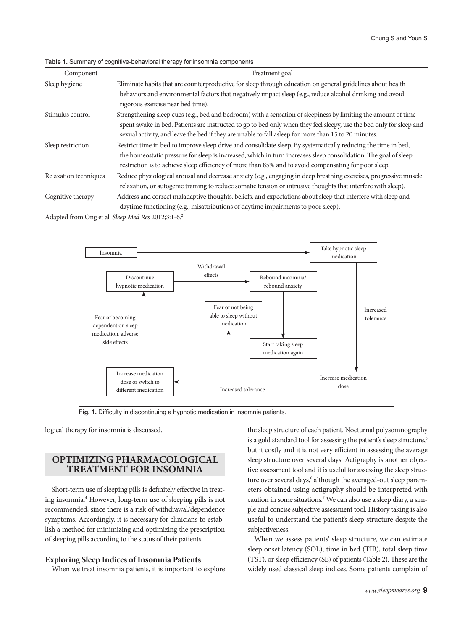**Table 1.** Summary of cognitive-behavioral therapy for insomnia components

| Component             | Treatment goal                                                                                                                                                                                                                                                                                                                             |  |
|-----------------------|--------------------------------------------------------------------------------------------------------------------------------------------------------------------------------------------------------------------------------------------------------------------------------------------------------------------------------------------|--|
| Sleep hygiene         | Eliminate habits that are counterproductive for sleep through education on general guidelines about health                                                                                                                                                                                                                                 |  |
|                       | behaviors and environmental factors that negatively impact sleep (e.g., reduce alcohol drinking and avoid<br>rigorous exercise near bed time).                                                                                                                                                                                             |  |
| Stimulus control      | Strengthening sleep cues (e.g., bed and bedroom) with a sensation of sleepiness by limiting the amount of time                                                                                                                                                                                                                             |  |
|                       | spent awake in bed. Patients are instructed to go to bed only when they feel sleepy, use the bed only for sleep and<br>sexual activity, and leave the bed if they are unable to fall asleep for more than 15 to 20 minutes.                                                                                                                |  |
| Sleep restriction     | Restrict time in bed to improve sleep drive and consolidate sleep. By systematically reducing the time in bed,<br>the homeostatic pressure for sleep is increased, which in turn increases sleep consolidation. The goal of sleep<br>restriction is to achieve sleep efficiency of more than 85% and to avoid compensating for poor sleep. |  |
| Relaxation techniques | Reduce physiological arousal and decrease anxiety (e.g., engaging in deep breathing exercises, progressive muscle<br>relaxation, or autogenic training to reduce somatic tension or intrusive thoughts that interfere with sleep).                                                                                                         |  |
| Cognitive therapy     | Address and correct maladaptive thoughts, beliefs, and expectations about sleep that interfere with sleep and<br>daytime functioning (e.g., misattributions of daytime impairments to poor sleep).                                                                                                                                         |  |

Adapted from Ong et al. *Sleep Med Res* 2012;3:1-6.2



**Fig. 1.** Difficulty in discontinuing a hypnotic medication in insomnia patients.

logical therapy for insomnia is discussed.

# **OPTIMIZING PHARMACOLOGICAL TREATMENT FOR INSOMNIA**

Short-term use of sleeping pills is definitely effective in treating insomnia.4 However, long-term use of sleeping pills is not recommended, since there is a risk of withdrawal/dependence symptoms. Accordingly, it is necessary for clinicians to establish a method for minimizing and optimizing the prescription of sleeping pills according to the status of their patients.

#### **Exploring Sleep Indices of Insomnia Patients**

When we treat insomnia patients, it is important to explore

the sleep structure of each patient. Nocturnal polysomnography is a gold standard tool for assessing the patient's sleep structure,<sup>5</sup> but it costly and it is not very efficient in assessing the average sleep structure over several days. Actigraphy is another objective assessment tool and it is useful for assessing the sleep structure over several days,<sup>6</sup> although the averaged-out sleep parameters obtained using actigraphy should be interpreted with caution in some situations.<sup>7</sup> We can also use a sleep diary, a simple and concise subjective assessment tool. History taking is also useful to understand the patient's sleep structure despite the subjectiveness.

When we assess patients' sleep structure, we can estimate sleep onset latency (SOL), time in bed (TIB), total sleep time (TST), or sleep efficiency (SE) of patients (Table 2). These are the widely used classical sleep indices. Some patients complain of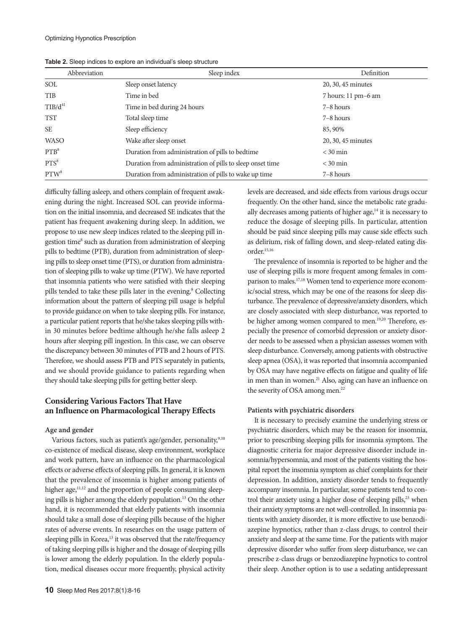| Abbreviation        | Sleep index                                               | Definition          |
|---------------------|-----------------------------------------------------------|---------------------|
| SOL                 | Sleep onset latency                                       | 20, 30, 45 minutes  |
| <b>TIB</b>          | Time in bed                                               | 7 hours: 11 pm-6 am |
| TIB/d <sup>41</sup> | Time in bed during 24 hours                               | 7-8 hours           |
| <b>TST</b>          | Total sleep time                                          | 7-8 hours           |
| <b>SE</b>           | Sleep efficiency                                          | 85, 90%             |
| <b>WASO</b>         | Wake after sleep onset                                    | 20, 30, 45 minutes  |
| PTB <sup>8</sup>    | Duration from administration of pills to bedtime          | $<$ 30 min          |
| PTS <sup>8</sup>    | Duration from administration of pills to sleep onset time | $<$ 30 min          |
| PTW <sup>8</sup>    | Duration from administration of pills to wake up time     | 7-8 hours           |

**Table 2.** Sleep indices to explore an individual's sleep structure

difficulty falling asleep, and others complain of frequent awakening during the night. Increased SOL can provide information on the initial insomnia, and decreased SE indicates that the patient has frequent awakening during sleep. In addition, we propose to use new sleep indices related to the sleeping pill ingestion time<sup>8</sup> such as duration from administration of sleeping pills to bedtime (PTB), duration from administration of sleeping pills to sleep onset time (PTS), or duration from administration of sleeping pills to wake up time (PTW). We have reported that insomnia patients who were satisfied with their sleeping pills tended to take these pills later in the evening.<sup>8</sup> Collecting information about the pattern of sleeping pill usage is helpful to provide guidance on when to take sleeping pills. For instance, a particular patient reports that he/she takes sleeping pills within 30 minutes before bedtime although he/she falls asleep 2 hours after sleeping pill ingestion. In this case, we can observe the discrepancy between 30 minutes of PTB and 2 hours of PTS. Therefore, we should assess PTB and PTS separately in patients, and we should provide guidance to patients regarding when they should take sleeping pills for getting better sleep.

## **Considering Various Factors That Have an Influence on Pharmacological Therapy Effects**

#### **Age and gender**

Various factors, such as patient's age/gender, personality,<sup>9,10</sup> co-existence of medical disease, sleep environment, workplace and work pattern, have an influence on the pharmacological effects or adverse effects of sleeping pills. In general, it is known that the prevalence of insomnia is higher among patients of higher age,<sup>11,12</sup> and the proportion of people consuming sleeping pills is higher among the elderly population.13 On the other hand, it is recommended that elderly patients with insomnia should take a small dose of sleeping pills because of the higher rates of adverse events. In researches on the usage pattern of sleeping pills in Korea,<sup>13</sup> it was observed that the rate/frequency of taking sleeping pills is higher and the dosage of sleeping pills is lower among the elderly population. In the elderly population, medical diseases occur more frequently, physical activity

levels are decreased, and side effects from various drugs occur frequently. On the other hand, since the metabolic rate gradually decreases among patients of higher age, $^{14}$  it is necessary to reduce the dosage of sleeping pills. In particular, attention should be paid since sleeping pills may cause side effects such as delirium, risk of falling down, and sleep-related eating disorder.15,16

The prevalence of insomnia is reported to be higher and the use of sleeping pills is more frequent among females in comparison to males.17,18 Women tend to experience more economic/social stress, which may be one of the reasons for sleep disturbance. The prevalence of depressive/anxiety disorders, which are closely associated with sleep disturbance, was reported to be higher among women compared to men.<sup>19,20</sup> Therefore, especially the presence of comorbid depression or anxiety disorder needs to be assessed when a physician assesses women with sleep disturbance. Conversely, among patients with obstructive sleep apnea (OSA), it was reported that insomnia accompanied by OSA may have negative effects on fatigue and quality of life in men than in women.<sup>21</sup> Also, aging can have an influence on the severity of OSA among men.<sup>22</sup>

#### **Patients with psychiatric disorders**

It is necessary to precisely examine the underlying stress or psychiatric disorders, which may be the reason for insomnia, prior to prescribing sleeping pills for insomnia symptom. The diagnostic criteria for major depressive disorder include insomnia/hypersomnia, and most of the patients visiting the hospital report the insomnia symptom as chief complaints for their depression. In addition, anxiety disorder tends to frequently accompany insomnia. In particular, some patients tend to control their anxiety using a higher dose of sleeping pills,<sup>23</sup> when their anxiety symptoms are not well-controlled. In insomnia patients with anxiety disorder, it is more effective to use benzodiazepine hypnotics, rather than z-class drugs, to control their anxiety and sleep at the same time. For the patients with major depressive disorder who suffer from sleep disturbance, we can prescribe z-class drugs or benzodiazepine hypnotics to control their sleep. Another option is to use a sedating antidepressant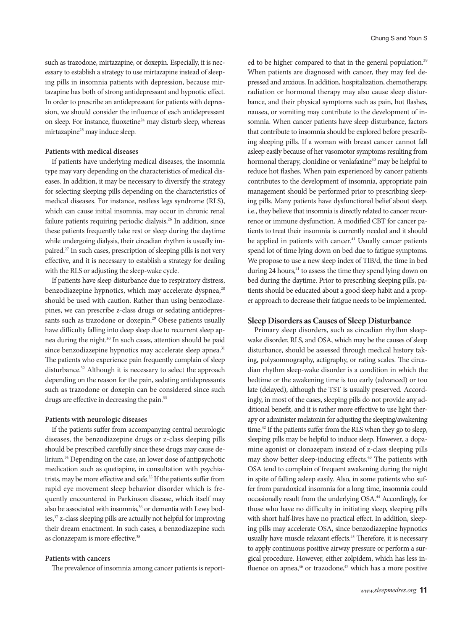such as trazodone, mirtazapine, or doxepin. Especially, it is necessary to establish a strategy to use mirtazapine instead of sleeping pills in insomnia patients with depression, because mirtazapine has both of strong antidepressant and hypnotic effect. In order to prescribe an antidepressant for patients with depression, we should consider the influence of each antidepressant on sleep. For instance, fluoxetine<sup>24</sup> may disturb sleep, whereas mirtazapine<sup>25</sup> may induce sleep.

### **Patients with medical diseases**

If patients have underlying medical diseases, the insomnia type may vary depending on the characteristics of medical diseases. In addition, it may be necessary to diversify the strategy for selecting sleeping pills depending on the characteristics of medical diseases. For instance, restless legs syndrome (RLS), which can cause initial insomnia, may occur in chronic renal failure patients requiring periodic dialysis.26 In addition, since these patients frequently take rest or sleep during the daytime while undergoing dialysis, their circadian rhythm is usually impaired.27 In such cases, prescription of sleeping pills is not very effective, and it is necessary to establish a strategy for dealing with the RLS or adjusting the sleep-wake cycle.

If patients have sleep disturbance due to respiratory distress, benzodiazepine hypnotics, which may accelerate dyspnea,<sup>28</sup> should be used with caution. Rather than using benzodiazepines, we can prescribe z-class drugs or sedating antidepressants such as trazodone or doxepin.<sup>29</sup> Obese patients usually have difficulty falling into deep sleep due to recurrent sleep apnea during the night.30 In such cases, attention should be paid since benzodiazepine hypnotics may accelerate sleep apnea.<sup>31</sup> The patients who experience pain frequently complain of sleep disturbance.<sup>32</sup> Although it is necessary to select the approach depending on the reason for the pain, sedating antidepressants such as trazodone or doxepin can be considered since such drugs are effective in decreasing the pain.<sup>33</sup>

## **Patients with neurologic diseases**

If the patients suffer from accompanying central neurologic diseases, the benzodiazepine drugs or z-class sleeping pills should be prescribed carefully since these drugs may cause delirium.34 Depending on the case, an lower dose of antipsychotic medication such as quetiapine, in consultation with psychiatrists, may be more effective and safe.<sup>35</sup> If the patients suffer from rapid eye movement sleep behavior disorder which is frequently encountered in Parkinson disease, which itself may also be associated with insomnia,<sup>36</sup> or dementia with Lewy bodies,37 z-class sleeping pills are actually not helpful for improving their dream enactment. In such cases, a benzodiazepine such as clonazepam is more effective.<sup>38</sup>

## **Patients with cancers**

The prevalence of insomnia among cancer patients is report-

ed to be higher compared to that in the general population.<sup>39</sup> When patients are diagnosed with cancer, they may feel depressed and anxious. In addition, hospitalization, chemotherapy, radiation or hormonal therapy may also cause sleep disturbance, and their physical symptoms such as pain, hot flashes, nausea, or vomiting may contribute to the development of insomnia. When cancer patients have sleep disturbance, factors that contribute to insomnia should be explored before prescribing sleeping pills. If a woman with breast cancer cannot fall asleep easily because of her vasomotor symptoms resulting from hormonal therapy, clonidine or venlafaxine<sup>40</sup> may be helpful to reduce hot flashes. When pain experienced by cancer patients contributes to the development of insomnia, appropriate pain management should be performed prior to prescribing sleeping pills. Many patients have dysfunctional belief about sleep. i.e., they believe that insomnia is directly related to cancer recurrence or immune dysfunction. A modified CBT for cancer patients to treat their insomnia is currently needed and it should be applied in patients with cancer.<sup>41</sup> Usually cancer patients spend lot of time lying down on bed due to fatigue symptoms. We propose to use a new sleep index of TIB/d, the time in bed during 24 hours, $41$  to assess the time they spend lying down on bed during the daytime. Prior to prescribing sleeping pills, patients should be educated about a good sleep habit and a proper approach to decrease their fatigue needs to be implemented.

#### **Sleep Disorders as Causes of Sleep Disturbance**

Primary sleep disorders, such as circadian rhythm sleepwake disorder, RLS, and OSA, which may be the causes of sleep disturbance, should be assessed through medical history taking, polysomnography, actigraphy, or rating scales. The circadian rhythm sleep-wake disorder is a condition in which the bedtime or the awakening time is too early (advanced) or too late (delayed), although the TST is usually preserved. Accordingly, in most of the cases, sleeping pills do not provide any additional benefit, and it is rather more effective to use light therapy or administer melatonin for adjusting the sleeping/awakening time.<sup>42</sup> If the patients suffer from the RLS when they go to sleep, sleeping pills may be helpful to induce sleep. However, a dopamine agonist or clonazepam instead of z-class sleeping pills may show better sleep-inducing effects.<sup>43</sup> The patients with OSA tend to complain of frequent awakening during the night in spite of falling asleep easily. Also, in some patients who suffer from paradoxical insomnia for a long time, insomnia could occasionally result from the underlying OSA.44 Accordingly, for those who have no difficulty in initiating sleep, sleeping pills with short half-lives have no practical effect. In addition, sleeping pills may accelerate OSA, since benzodiazepine hypnotics usually have muscle relaxant effects.<sup>45</sup> Therefore, it is necessary to apply continuous positive airway pressure or perform a surgical procedure. However, either zolpidem, which has less influence on apnea, $46$  or trazodone, $47$  which has a more positive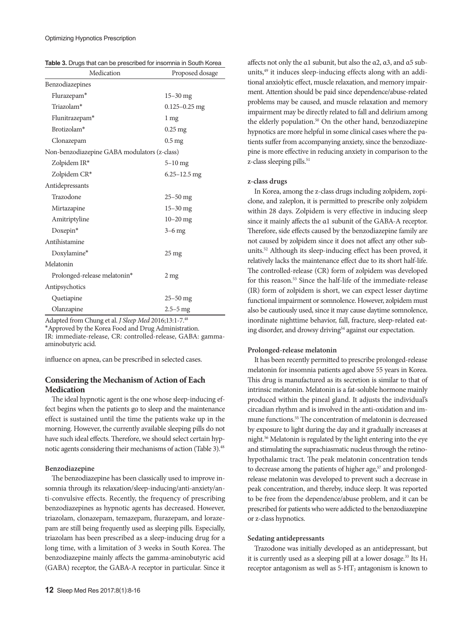| Table 3. Drugs that can be prescribed for insomnia in South Korea |  |
|-------------------------------------------------------------------|--|
|-------------------------------------------------------------------|--|

| Medication                                   | Proposed dosage    |  |  |
|----------------------------------------------|--------------------|--|--|
| Benzodiazepines                              |                    |  |  |
| Flurazepam*                                  | $15 - 30$ mg       |  |  |
| Triazolam*                                   | $0.125 - 0.25$ mg  |  |  |
| Flunitrazepam*                               | 1 mg               |  |  |
| Brotizolam*                                  | $0.25$ mg          |  |  |
| Clonazepam                                   | 0.5 <sub>mg</sub>  |  |  |
| Non-benzodiazepine GABA modulators (z-class) |                    |  |  |
| Zolpidem IR*                                 | $5-10$ mg          |  |  |
| Zolpidem CR*                                 | $6.25 - 12.5$ mg   |  |  |
| Antidepressants                              |                    |  |  |
| Trazodone                                    | $25 - 50$ mg       |  |  |
| Mirtazapine                                  | $15 - 30$ mg       |  |  |
| Amitriptyline                                | $10 - 20$ mg       |  |  |
| Doxepin*                                     | $3-6$ mg           |  |  |
| Antihistamine                                |                    |  |  |
| Doxylamine*                                  | $25 \,\mathrm{mg}$ |  |  |
| Melatonin                                    |                    |  |  |
| Prolonged-release melatonin*                 | 2 <sub>mg</sub>    |  |  |
| Antipsychotics                               |                    |  |  |
| Quetiapine                                   | $25 - 50$ mg       |  |  |
| Olanzapine                                   | $2.5 - 5$ mg       |  |  |

Adapted from Chung et al. *J Sleep Med* 2016;13:1-7.48

\*Approved by the Korea Food and Drug Administration.

IR: immediate-release, CR: controlled-release, GABA: gammaaminobutyric acid.

influence on apnea, can be prescribed in selected cases.

# **Considering the Mechanism of Action of Each Medication**

The ideal hypnotic agent is the one whose sleep-inducing effect begins when the patients go to sleep and the maintenance effect is sustained until the time the patients wake up in the morning. However, the currently available sleeping pills do not have such ideal effects. Therefore, we should select certain hypnotic agents considering their mechanisms of action (Table 3).<sup>48</sup>

#### **Benzodiazepine**

The benzodiazepine has been classically used to improve insomnia through its relaxation/sleep-inducing/anti-anxiety/anti-convulsive effects. Recently, the frequency of prescribing benzodiazepines as hypnotic agents has decreased. However, triazolam, clonazepam, temazepam, flurazepam, and lorazepam are still being frequently used as sleeping pills. Especially, triazolam has been prescribed as a sleep-inducing drug for a long time, with a limitation of 3 weeks in South Korea. The benzodiazepine mainly affects the gamma-aminobutyric acid (GABA) receptor, the GABA-A receptor in particular. Since it

affects not only the α1 subunit, but also the α2, α3, and α5 subunits,49 it induces sleep-inducing effects along with an additional anxiolytic effect, muscle relaxation, and memory impairment. Attention should be paid since dependence/abuse-related problems may be caused, and muscle relaxation and memory impairment may be directly related to fall and delirium among the elderly population.<sup>50</sup> On the other hand, benzodiazepine hypnotics are more helpful in some clinical cases where the patients suffer from accompanying anxiety, since the benzodiazepine is more effective in reducing anxiety in comparison to the z-class sleeping pills.<sup>51</sup>

#### **z-class drugs**

In Korea, among the z-class drugs including zolpidem, zopiclone, and zaleplon, it is permitted to prescribe only zolpidem within 28 days. Zolpidem is very effective in inducing sleep since it mainly affects the α1 subunit of the GABA-A receptor. Therefore, side effects caused by the benzodiazepine family are not caused by zolpidem since it does not affect any other subunits.52 Although its sleep-inducing effect has been proved, it relatively lacks the maintenance effect due to its short half-life. The controlled-release (CR) form of zolpidem was developed for this reason.53 Since the half-life of the immediate-release (IR) form of zolpidem is short, we can expect lesser daytime functional impairment or somnolence. However, zolpidem must also be cautiously used, since it may cause daytime somnolence, inordinate nighttime behavior, fall, fracture, sleep-related eating disorder, and drowsy driving<sup>54</sup> against our expectation.

#### **Prolonged-release melatonin**

It has been recently permitted to prescribe prolonged-release melatonin for insomnia patients aged above 55 years in Korea. This drug is manufactured as its secretion is similar to that of intrinsic melatonin. Melatonin is a fat-soluble hormone mainly produced within the pineal gland. It adjusts the individual's circadian rhythm and is involved in the anti-oxidation and immune functions.55 The concentration of melatonin is decreased by exposure to light during the day and it gradually increases at night.56 Melatonin is regulated by the light entering into the eye and stimulating the suprachiasmatic nucleus through the retinohypothalamic tract. The peak melatonin concentration tends to decrease among the patients of higher age,<sup>57</sup> and prolongedrelease melatonin was developed to prevent such a decrease in peak concentration, and thereby, induce sleep. It was reported to be free from the dependence/abuse problem, and it can be prescribed for patients who were addicted to the benzodiazepine or z-class hypnotics.

#### **Sedating antidepressants**

Trazodone was initially developed as an antidepressant, but it is currently used as a sleeping pill at a lower dosage.<sup>33</sup> Its  $H_1$ receptor antagonism as well as  $5-HT_2$  antagonism is known to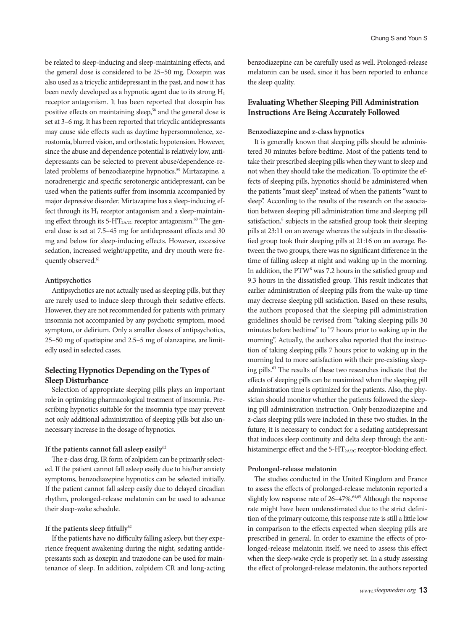be related to sleep-inducing and sleep-maintaining effects, and the general dose is considered to be 25–50 mg. Doxepin was also used as a tricyclic antidepressant in the past, and now it has been newly developed as a hypnotic agent due to its strong  $H_1$ receptor antagonism. It has been reported that doxepin has positive effects on maintaining sleep,<sup>58</sup> and the general dose is set at 3–6 mg. It has been reported that tricyclic antidepressants may cause side effects such as daytime hypersomnolence, xerostomia, blurred vision, and orthostatic hypotension. However, since the abuse and dependence potential is relatively low, antidepressants can be selected to prevent abuse/dependence-related problems of benzodiazepine hypnotics.<sup>59</sup> Mirtazapine, a noradrenergic and specific serotonergic antidepressant, can be used when the patients suffer from insomnia accompanied by major depressive disorder. Mirtazapine has a sleep-inducing effect through its  $H_1$  receptor antagonism and a sleep-maintaining effect through its 5-HT<sub>2A/2C</sub> receptor antagonism.<sup>60</sup> The general dose is set at 7.5–45 mg for antidepressant effects and 30 mg and below for sleep-inducing effects. However, excessive sedation, increased weight/appetite, and dry mouth were frequently observed.<sup>61</sup>

## **Antipsychotics**

Antipsychotics are not actually used as sleeping pills, but they are rarely used to induce sleep through their sedative effects. However, they are not recommended for patients with primary insomnia not accompanied by any psychotic symptom, mood symptom, or delirium. Only a smaller doses of antipsychotics, 25–50 mg of quetiapine and 2.5–5 mg of olanzapine, are limitedly used in selected cases.

# **Selecting Hypnotics Depending on the Types of Sleep Disturbance**

Selection of appropriate sleeping pills plays an important role in optimizing pharmacological treatment of insomnia. Prescribing hypnotics suitable for the insomnia type may prevent not only additional administration of sleeping pills but also unnecessary increase in the dosage of hypnotics.

#### **If the patients cannot fall asleep easily**<sup>62</sup>

The z-class drug, IR form of zolpidem can be primarily selected. If the patient cannot fall asleep easily due to his/her anxiety symptoms, benzodiazepine hypnotics can be selected initially. If the patient cannot fall asleep easily due to delayed circadian rhythm, prolonged-release melatonin can be used to advance their sleep-wake schedule.

## **If the patients sleep fitfully**<sup>62</sup>

If the patients have no difficulty falling asleep, but they experience frequent awakening during the night, sedating antidepressants such as doxepin and trazodone can be used for maintenance of sleep. In addition, zolpidem CR and long-acting benzodiazepine can be carefully used as well. Prolonged-release melatonin can be used, since it has been reported to enhance the sleep quality.

# **Evaluating Whether Sleeping Pill Administration Instructions Are Being Accurately Followed**

#### **Benzodiazepine and z-class hypnotics**

It is generally known that sleeping pills should be administered 30 minutes before bedtime. Most of the patients tend to take their prescribed sleeping pills when they want to sleep and not when they should take the medication. To optimize the effects of sleeping pills, hypnotics should be administered when the patients "must sleep" instead of when the patients "want to sleep". According to the results of the research on the association between sleeping pill administration time and sleeping pill satisfaction,<sup>8</sup> subjects in the satisfied group took their sleeping pills at 23:11 on an average whereas the subjects in the dissatisfied group took their sleeping pills at 21:16 on an average. Between the two groups, there was no significant difference in the time of falling asleep at night and waking up in the morning. In addition, the PTW<sup>8</sup> was 7.2 hours in the satisfied group and 9.3 hours in the dissatisfied group. This result indicates that earlier administration of sleeping pills from the wake-up time may decrease sleeping pill satisfaction. Based on these results, the authors proposed that the sleeping pill administration guidelines should be revised from "taking sleeping pills 30 minutes before bedtime" to "7 hours prior to waking up in the morning". Actually, the authors also reported that the instruction of taking sleeping pills 7 hours prior to waking up in the morning led to more satisfaction with their pre-existing sleeping pills.<sup>63</sup> The results of these two researches indicate that the effects of sleeping pills can be maximized when the sleeping pill administration time is optimized for the patients. Also, the physician should monitor whether the patients followed the sleeping pill administration instruction. Only benzodiazepine and z-class sleeping pills were included in these two studies. In the future, it is necessary to conduct for a sedating antidepressant that induces sleep continuity and delta sleep through the antihistaminergic effect and the 5-HT<sub>2A/2C</sub> receptor-blocking effect.

## **Prolonged-release melatonin**

The studies conducted in the United Kingdom and France to assess the effects of prolonged-release melatonin reported a slightly low response rate of 26-47%.<sup>64,65</sup> Although the response rate might have been underestimated due to the strict definition of the primary outcome, this response rate is still a little low in comparison to the effects expected when sleeping pills are prescribed in general. In order to examine the effects of prolonged-release melatonin itself, we need to assess this effect when the sleep-wake cycle is properly set. In a study assessing the effect of prolonged-release melatonin, the authors reported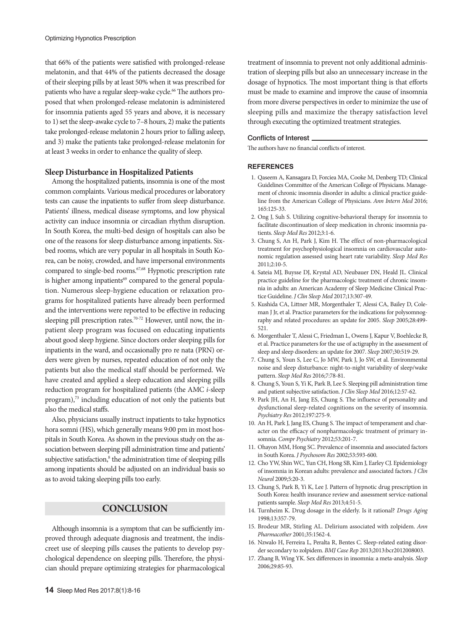that 66% of the patients were satisfied with prolonged-release melatonin, and that 44% of the patients decreased the dosage of their sleeping pills by at least 50% when it was prescribed for patients who have a regular sleep-wake cycle.<sup>66</sup> The authors proposed that when prolonged-release melatonin is administered for insomnia patients aged 55 years and above, it is necessary to 1) set the sleep-awake cycle to 7–8 hours, 2) make the patients take prolonged-release melatonin 2 hours prior to falling asleep, and 3) make the patients take prolonged-release melatonin for at least 3 weeks in order to enhance the quality of sleep.

#### **Sleep Disturbance in Hospitalized Patients**

Among the hospitalized patients, insomnia is one of the most common complaints. Various medical procedures or laboratory tests can cause the inpatients to suffer from sleep disturbance. Patients' illness, medical disease symptoms, and low physical activity can induce insomnia or circadian rhythm disruption. In South Korea, the multi-bed design of hospitals can also be one of the reasons for sleep disturbance among inpatients. Sixbed rooms, which are very popular in all hospitals in South Korea, can be noisy, crowded, and have impersonal environments compared to single-bed rooms.<sup>67,68</sup> Hypnotic prescription rate is higher among inpatients<sup>69</sup> compared to the general population. Numerous sleep-hygiene education or relaxation programs for hospitalized patients have already been performed and the interventions were reported to be effective in reducing sleeping pill prescription rates.<sup>70-72</sup> However, until now, the inpatient sleep program was focused on educating inpatients about good sleep hygiene. Since doctors order sleeping pills for inpatients in the ward, and occasionally pro re nata (PRN) orders were given by nurses, repeated education of not only the patients but also the medical staff should be performed. We have created and applied a sleep education and sleeping pills reduction program for hospitalized patients (the AMC *i*-sleep program),<sup>73</sup> including education of not only the patients but also the medical staffs.

Also, physicians usually instruct inpatients to take hypnotics hora somni (HS), which generally means 9:00 pm in most hospitals in South Korea. As shown in the previous study on the association between sleeping pill administration time and patients' subjective satisfaction,<sup>8</sup> the administration time of sleeping pills among inpatients should be adjusted on an individual basis so as to avoid taking sleeping pills too early.

# **CONCLUSION**

Although insomnia is a symptom that can be sufficiently improved through adequate diagnosis and treatment, the indiscreet use of sleeping pills causes the patients to develop psychological dependence on sleeping pills. Therefore, the physician should prepare optimizing strategies for pharmacological treatment of insomnia to prevent not only additional administration of sleeping pills but also an unnecessary increase in the dosage of hypnotics. The most important thing is that efforts must be made to examine and improve the cause of insomnia from more diverse perspectives in order to minimize the use of sleeping pills and maximize the therapy satisfaction level through executing the optimized treatment strategies.

#### Conflicts of Interest

The authors have no financial conflicts of interest.

#### **REFERENCES**

- 1. Qaseem A, Kansagara D, Forciea MA, Cooke M, Denberg TD; Clinical Guidelines Committee of the American College of Physicians. Management of chronic insomnia disorder in adults: a clinical practice guideline from the American College of Physicians. *Ann Intern Med* 2016; 165:125-33.
- 2. Ong J, Suh S. Utilizing cognitive-behavioral therapy for insomnia to facilitate discontinuation of sleep medication in chronic insomnia patients. *Sleep Med Res* 2012;3:1-6.
- 3. Chung S, An H, Park J, Kim H. The effect of non-pharmacological treatment for psychophysiological insomnia on cardiovascular autonomic regulation assessed using heart rate variability. *Sleep Med Res* 2011;2:10-5.
- 4. Sateia MJ, Buysse DJ, Krystal AD, Neubauer DN, Heald JL. Clinical practice guideline for the pharmacologic treatment of chronic insomnia in adults: an American Academy of Sleep Medicine Clinical Practice Guideline. *J Clin Sleep Med* 2017;13:307-49.
- 5. Kushida CA, Littner MR, Morgenthaler T, Alessi CA, Bailey D, Coleman J Jr, et al. Practice parameters for the indications for polysomnography and related procedures: an update for 2005. *Sleep* 2005;28:499- 521.
- 6. Morgenthaler T, Alessi C, Friedman L, Owens J, Kapur V, Boehlecke B, et al. Practice parameters for the use of actigraphy in the assessment of sleep and sleep disorders: an update for 2007. *Sleep* 2007;30:519-29.
- 7. Chung S, Youn S, Lee C, Jo MW, Park J, Jo SW, et al. Environmental noise and sleep disturbance: night-to-night variability of sleep/wake pattern. *Sleep Med Res* 2016;7:78-81.
- 8. Chung S, Youn S, Yi K, Park B, Lee S. Sleeping pill administration time and patient subjective satisfaction. *J Clin Sleep Med* 2016;12:57-62.
- 9. Park JH, An H, Jang ES, Chung S. The influence of personality and dysfunctional sleep-related cognitions on the severity of insomnia. *Psychiatry Res* 2012;197:275-9.
- 10. An H, Park J, Jang ES, Chung S. The impact of temperament and character on the efficacy of nonpharmacologic treatment of primary insomnia. *Compr Psychiatry* 2012;53:201-7.
- 11. Ohayon MM, Hong SC. Prevalence of insomnia and associated factors in South Korea. *J Psychosom Res* 2002;53:593-600.
- 12. Cho YW, Shin WC, Yun CH, Hong SB, Kim J, Earley CJ. Epidemiology of insomnia in Korean adults: prevalence and associated factors. *J Clin Neurol* 2009;5:20-3.
- 13. Chung S, Park B, Yi K, Lee J. Pattern of hypnotic drug prescription in South Korea: health insurance review and assessment service-national patients sample. *Sleep Med Res* 2013;4:51-5.
- 14. Turnheim K. Drug dosage in the elderly. Is it rational? *Drugs Aging* 1998;13:357-79.
- 15. Brodeur MR, Stirling AL. Delirium associated with zolpidem. *Ann Pharmacother* 2001;35:1562-4.
- 16. Nzwalo H, Ferreira L, Peralta R, Bentes C. Sleep-related eating disorder secondary to zolpidem. *BMJ Case Rep* 2013;2013:bcr2012008003.
- 17. Zhang B, Wing YK. Sex differences in insomnia: a meta-analysis. *Sleep* 2006;29:85-93.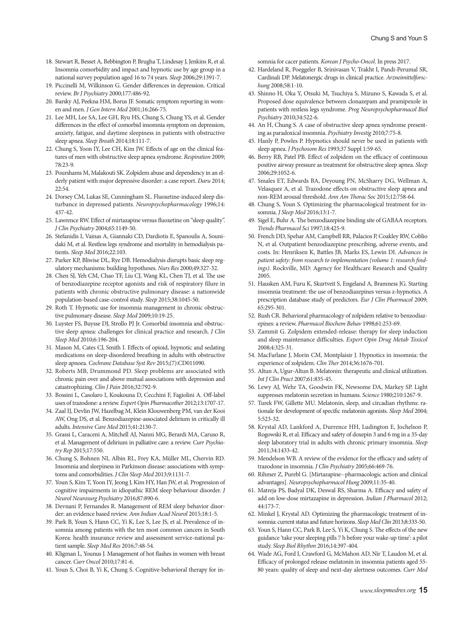- 18. Stewart R, Besset A, Bebbington P, Brugha T, Lindesay J, Jenkins R, et al. Insomnia comorbidity and impact and hypnotic use by age group in a national survey population aged 16 to 74 years. *Sleep* 2006;29:1391-7.
- 19. Piccinelli M, Wilkinson G. Gender differences in depression. Critical review. *Br J Psychiatry* 2000;177:486-92.
- 20. Barsky AJ, Peekna HM, Borus JF. Somatic symptom reporting in women and men. *J Gen Intern Med* 2001;16:266-75.
- 21. Lee MH, Lee SA, Lee GH, Ryu HS, Chung S, Chung YS, et al. Gender differences in the effect of comorbid insomnia symptom on depression, anxiety, fatigue, and daytime sleepiness in patients with obstructive sleep apnea. *Sleep Breath* 2014;18:111-7.
- 22. Chung S, Yoon IY, Lee CH, Kim JW. Effects of age on the clinical features of men with obstructive sleep apnea syndrome. *Respiration* 2009; 78:23-9.
- 23. Pourshams M, Malakouti SK. Zolpidem abuse and dependency in an elderly patient with major depressive disorder: a case report. *Daru* 2014; 22:54.
- 24. Dorsey CM, Lukas SE, Cunningham SL. Fluoxetine-induced sleep disturbance in depressed patients. *Neuropsychopharmacology* 1996;14: 437-42.
- 25. Lawrence RW. Effect of mirtazapine versus fluoxetine on "sleep quality". *J Clin Psychiatry* 2004;65:1149-50.
- 26. Stefanidis I, Vainas A, Giannaki CD, Dardiotis E, Spanoulis A, Sounidaki M, et al. Restless legs syndrome and mortality in hemodialysis patients. *Sleep Med* 2016;22:103.
- 27. Parker KP, Bliwise DL, Rye DB. Hemodialysis disrupts basic sleep regulatory mechanisms: building hypotheses. *Nurs Res* 2000;49:327-32.
- 28. Chen SJ, Yeh CM, Chao TF, Liu CJ, Wang KL, Chen TJ, et al. The use of benzodiazepine receptor agonists and risk of respiratory filure in patients with chronic obstructive pulmonary disease: a nationwide population-based case-control study. *Sleep* 2015;38:1045-50.
- 29. Roth T. Hypnotic use for insomnia management in chronic obstructive pulmonary disease. *Sleep Med* 2009;10:19-25.
- 30. Luyster FS, Buysse DJ, Strollo PJ Jr. Comorbid insomnia and obstructive sleep apnea: challenges for clinical practice and research. *J Clin Sleep Med* 2010;6:196-204.
- 31. Mason M, Cates CJ, Smith I. Effects of opioid, hypnotic and sedating medications on sleep-disordered breathing in adults with obstructive sleep apnoea. *Cochrane Database Syst Rev* 2015;(7):CD011090.
- 32. Roberts MB, Drummond PD. Sleep problems are associated with chronic pain over and above mutual associations with depression and catastrophizing. *Clin J Pain* 2016;32:792-9.
- 33. Bossini L, Casolaro I, Koukouna D, Cecchini F, Fagiolini A. Off-label uses of trazodone: a review. *Expert Opin Pharmacother* 2012;13:1707-17.
- 34. Zaal IJ, Devlin JW, Hazelbag M, Klein Klouwenberg PM, van der Kooi AW, Ong DS, et al. Benzodiazepine-associated delirium in critically ill adults. *Intensive Care Med* 2015;41:2130-7.
- 35. Grassi L, Caraceni A, Mitchell AJ, Nanni MG, Berardi MA, Caruso R, et al. Management of delirium in palliative care: a review. *Curr Psychiatry Rep* 2015;17:550.
- 36. Chung S, Bohnen NI, Albin RL, Frey KA, Müller ML, Chervin RD. Insomnia and sleepiness in Parkinson disease: associations with symptoms and comorbidities. *J Clin Sleep Med* 2013;9:1131-7.
- 37. Youn S, Kim T, Yoon IY, Jeong J, Kim HY, Han JW, et al. Progression of cognitive impairments in idiopathic REM sleep behaviour disorder. *J Neurol Neurosurg Psychiatry* 2016;87:890-6.
- 38. Devnani P, Fernandes R. Management of REM sleep behavior disorder: an evidence based review. *Ann Indian Acad Neurol* 2015;18:1-5.
- 39. Park B, Youn S, Hann CC, Yi K, Lee S, Lee JS, et al. Prevalence of insomnia among patients with the ten most common cancers in South Korea: health insurance review and assessment service-national patient sample. *Sleep Med Res* 2016;7:48-54.
- 40. Kligman L, Younus J. Management of hot flashes in women with breast cancer. *Curr Oncol* 2010;17:81-6.
- 41. Youn S, Choi B, Yi K, Chung S. Cognitive-behavioral therapy for in-

Chung S and Youn S

somnia for cacer patients. *Korean J Psycho-Oncol*. In press 2017.

- 42. Hardeland R, Poeggeler B, Srinivasan V, Trakht I, Pandi-Perumal SR, Cardinali DP. Melatonergic drugs in clinical practice. *Arzneimittelforschung* 2008;58:1-10.
- 43. Shinno H, Oka Y, Otsuki M, Tsuchiya S, Mizuno S, Kawada S, et al. Proposed dose equivalence between clonazepam and pramipexole in patients with restless legs syndrome. *Prog Neuropsychopharmacol Biol Psychiatry* 2010;34:522-6.
- 44. An H, Chung S. A case of obstructive sleep apnea syndrome presenting as paradoxical insomnia. *Psychiatry Investig* 2010;7:75-8.
- 45. Hanly P, Powles P. Hypnotics should never be used in patients with sleep apnea. *J Psychosom Res* 1993;37 Suppl 1:59-65.
- 46. Berry RB, Patel PB. Effect of zolpidem on the efficacy of continuous positive airway pressure as treatment for obstructive sleep apnea. *Sleep* 2006;29:1052-6.
- 47. Smales ET, Edwards BA, Deyoung PN, McSharry DG, Wellman A, Velasquez A, et al. Trazodone effects on obstructive sleep apnea and non-REM arousal threshold. *Ann Am Thorac Soc* 2015;12:758-64.
- 48. Chung S, Youn S. Optimizing the pharmacological treatment for insomnia. *J Sleep Med* 2016;13:1-7.
- 49. Sigel E, Buhr A. The benzodiazepine binding site of GABAA receptors. *Trends Pharmacol Sci* 1997;18:425-9.
- 50. French DD, Spehar AM, Campbell RR, Palacios P, Coakley RW, Coblio N, et al. Outpatient benzodiazepine prescribing, adverse events, and costs. In: Henriksen K, Battles JB, Marks ES, Lewin DI. *Advances in patient safety: from research to implementation (volume 1: research findings)*. Rockville, MD: Agency for Healthcare Research and Quality 2005.
- 51. Hausken AM, Furu K, Skurtveit S, Engeland A, Bramness JG. Starting insomnia treatment: the use of benzodiazepines versus z-hypnotics. A prescription database study of predictors. *Eur J Clin Pharmacol* 2009; 65:295-301.
- 52. Rush CR. Behavioral pharmacology of zolpidem relative to benzodiazepines: a review. *Pharmacol Biochem Behav* 1998;61:253-69.
- 53. Zammit G. Zolpidem extended-release: therapy for sleep induction and sleep maintenance difficulties. *Expert Opin Drug Metab Toxicol* 2008;4:325-31.
- 54. MacFarlane J, Morin CM, Montplaisir J. Hypnotics in insomnia: the experience of zolpidem. *Clin Ther* 2014;36:1676-701.
- 55. Altun A, Ugur-Altun B. Melatonin: therapeutic and clinical utilization. *Int J Clin Pract* 2007;61:835-45.
- 56. Lewy AJ, Wehr TA, Goodwin FK, Newsome DA, Markey SP. Light suppresses melatonin secretion in humans. *Science* 1980;210:1267-9.
- 57. Turek FW, Gillette MU. Melatonin, sleep, and circadian rhythms: rationale for development of specific melatonin agonists. *Sleep Med* 2004; 5:523-32.
- 58. Krystal AD, Lankford A, Durrence HH, Ludington E, Jochelson P, Rogowski R, et al. Efficacy and safety of doxepin 3 and 6 mg in a 35-day sleep laboratory trial in adults with chronic primary insomnia. *Sleep* 2011;34:1433-42.
- 59. Mendelson WB. A review of the evidence for the efficacy and safety of trazodone in insomnia. *J Clin Psychiatry* 2005;66:469-76.
- 60. Rihmer Z, Purebl G. [Mirtazapine--pharmacologic action and clinical advantages]. *Neuropsychopharmacol Hung* 2009;11:35-40.
- 61. Matreja PS, Badyal DK, Deswal RS, Sharma A. Efficacy and safety of add on low-dose mirtazapine in depression. *Indian J Pharmacol* 2012; 44:173-7.
- 62. Minkel J, Krystal AD. Optimizing the pharmacologic treatment of insomnia: current status and future horizons. *Sleep Med Clin* 2013;8:333-50.
- 63. Youn S, Hann CC, Park B, Lee S, Yi K, Chung S. The effects of the new guidance 'take your sleeping pills 7 h before your wake-up time': a pilot study. *Sleep Biol Rhythm* 2016;14:397-404.
- 64. Wade AG, Ford I, Crawford G, McMahon AD, Nir T, Laudon M, et al. Efficacy of prolonged release melatonin in insomnia patients aged 55- 80 years: quality of sleep and next-day alertness outcomes. *Curr Med*